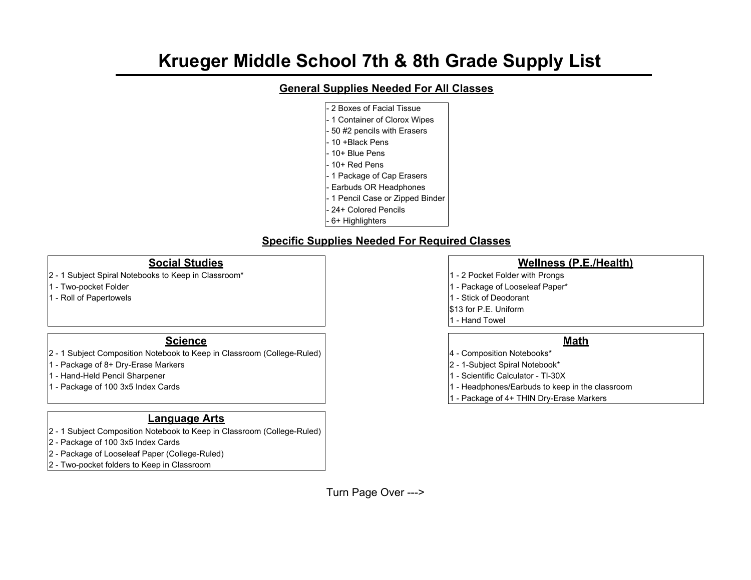# **Krueger Middle School 7th & 8th Grade Supply List**

# **General Supplies Needed For All Classes**

2 Boxes of Facial Tissue - 1 Container of Clorox Wipes - 50 #2 pencils with Erasers - 10 +Black Pens - 10+ Blue Pens - 10+ Red Pens - 1 Package of Cap Erasers - Earbuds OR Headphones - 1 Pencil Case or Zipped Binder - 24+ Colored Pencils - 6+ Highlighters

# **Specific Supplies Needed For Required Classes**

- 2 1 Subject Spiral Notebooks to Keep in Classroom\* 1 1 2 Pocket Folder with Prongs
- 1 Two-pocket Folder 1 Package of Looseleaf Paper\* 1 Package of Looseleaf Paper\*
- 1 Roll of Papertowels **1 Roll of Papertowels** 1 Stick of Deodorant

### **Science Math**

- 2 1 Subject Composition Notebook to Keep in Classroom (College-Ruled) 4 Composition Notebooks\*
- 1 Package of 8+ Dry-Erase Markers 2 1-Subject Spiral Notebook\*
- 1 Hand-Held Pencil Sharpener 1 Scientific Calculator TI-30X
- 

## **Language Arts**

- 2 1 Subject Composition Notebook to Keep in Classroom (College-Ruled)
- 2 Package of 100 3x5 Index Cards
- 2 Package of Looseleaf Paper (College-Ruled)
- 2 Two-pocket folders to Keep in Classroom

### **Social Studies Wellness (P.E./Health)**

- 
- 
- 
- \$13 for P.E. Uniform
- 1 Hand Towel

- 
- 
- 
- 1 Package of 100 3x5 Index Cards 1 Headphones/Earbuds to keep in the classroom
	- 1 Package of 4+ THIN Dry-Erase Markers